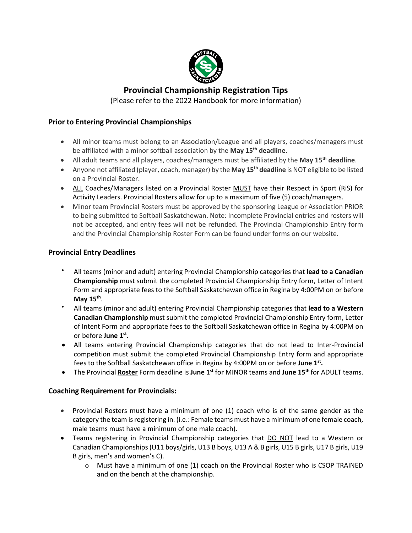

## **Provincial Championship Registration Tips**

(Please refer to the 2022 Handbook for more information)

#### **Prior to Entering Provincial Championships**

- All minor teams must belong to an Association/League and all players, coaches/managers must be affiliated with a minor softball association by the **May 15th deadline**.
- All adult teams and all players, coaches/managers must be affiliated by the **May 15th deadline**.
- Anyone not affiliated (player, coach, manager) by the **May 15th deadline** is NOT eligible to be listed on a Provincial Roster.
- ALL Coaches/Managers listed on a Provincial Roster MUST have their Respect in Sport (RiS) for Activity Leaders. Provincial Rosters allow for up to a maximum of five (5) coach/managers.
- Minor team Provincial Rosters must be approved by the sponsoring League or Association PRIOR to being submitted to Softball Saskatchewan. Note: Incomplete Provincial entries and rosters will not be accepted, and entry fees will not be refunded. The Provincial Championship Entry form and the Provincial Championship Roster Form can be found under forms on our website.

#### **Provincial Entry Deadlines**

- All teams (minor and adult) entering Provincial Championship categories that **lead to a Canadian Championship** must submit the completed Provincial Championship Entry form, Letter of Intent Form and appropriate fees to the Softball Saskatchewan office in Regina by 4:00PM on or before **May 15th** .
- All teams (minor and adult) entering Provincial Championship categories that **lead to a Western Canadian Championship** must submit the completed Provincial Championship Entry form, Letter of Intent Form and appropriate fees to the Softball Saskatchewan office in Regina by 4:00PM on or before **June 1st .**
- All teams entering Provincial Championship categories that do not lead to Inter-Provincial competition must submit the completed Provincial Championship Entry form and appropriate fees to the Softball Saskatchewan office in Regina by 4:00PM on or before **June 1st .**
- The Provincial **Roster** Form deadline is **June 1st** for MINOR teams and **June 15th** for ADULT teams.

#### **Coaching Requirement for Provincials:**

- Provincial Rosters must have a minimum of one (1) coach who is of the same gender as the category the team is registering in. (i.e.: Female teams must have a minimum of one female coach, male teams must have a minimum of one male coach).
- Teams registering in Provincial Championship categories that DO NOT lead to a Western or Canadian Championships (U11 boys/girls, U13 B boys, U13 A & B girls, U15 B girls, U17 B girls, U19 B girls, men's and women's C).
	- $\circ$  Must have a minimum of one (1) coach on the Provincial Roster who is CSOP TRAINED and on the bench at the championship.